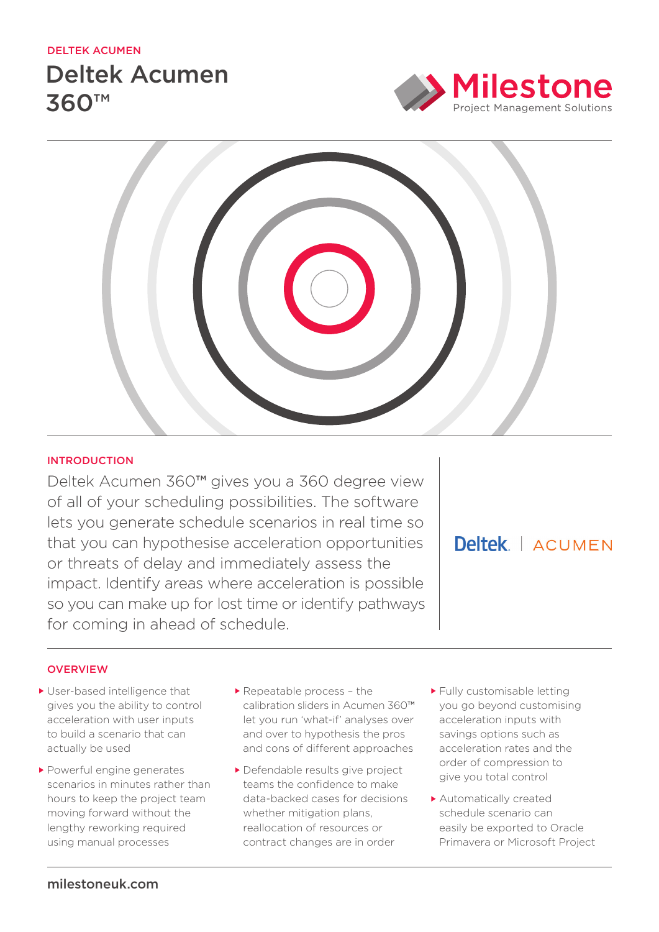## deltek acumen

# Deltek Acumen 360™





# **INTRODUCTION**

Deltek Acumen 360™ gives you a 360 degree view of all of your scheduling possibilities. The software lets you generate schedule scenarios in real time so that you can hypothesise acceleration opportunities or threats of delay and immediately assess the impact. Identify areas where acceleration is possible so you can make up for lost time or identify pathways for coming in ahead of schedule.

Deltek | ACUMEN

# **OVERVIEW**

- User-based intelligence that gives you the ability to control acceleration with user inputs to build a scenario that can actually be used
- Powerful engine generates scenarios in minutes rather than hours to keep the project team moving forward without the lengthy reworking required using manual processes
- Repeatable process the calibration sliders in Acumen 360™ let you run 'what-if' analyses over and over to hypothesis the pros and cons of different approaches
- Defendable results give project teams the confidence to make data-backed cases for decisions whether mitigation plans. reallocation of resources or contract changes are in order
- Fully customisable letting you go beyond customising acceleration inputs with savings options such as acceleration rates and the order of compression to give you total control
- Automatically created schedule scenario can easily be exported to Oracle Primavera or Microsoft Project